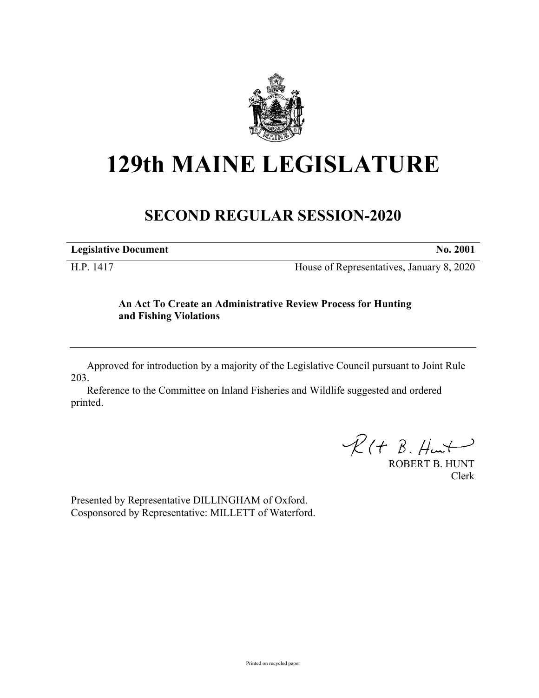

## **129th MAINE LEGISLATURE**

## **SECOND REGULAR SESSION-2020**

**Legislative Document No. 2001**

H.P. 1417 House of Representatives, January 8, 2020

## **An Act To Create an Administrative Review Process for Hunting and Fishing Violations**

Approved for introduction by a majority of the Legislative Council pursuant to Joint Rule 203.

Reference to the Committee on Inland Fisheries and Wildlife suggested and ordered printed.

 $R(H B. H<sub>un</sub>)$ 

ROBERT B. HUNT Clerk

Presented by Representative DILLINGHAM of Oxford. Cosponsored by Representative: MILLETT of Waterford.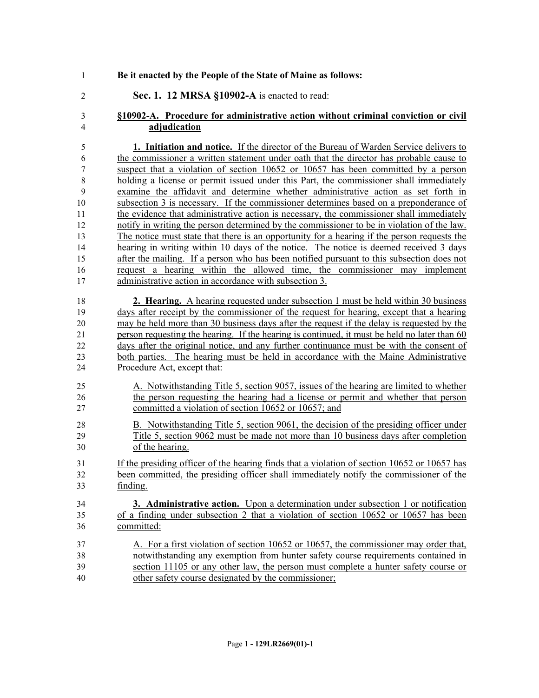- **Be it enacted by the People of the State of Maine as follows:**
- **Sec. 1. 12 MRSA §10902-A** is enacted to read:
- **§10902-A. Procedure for administrative action without criminal conviction or civil adjudication**

 **1. Initiation and notice.** If the director of the Bureau of Warden Service delivers to the commissioner a written statement under oath that the director has probable cause to suspect that a violation of section 10652 or 10657 has been committed by a person holding a license or permit issued under this Part, the commissioner shall immediately examine the affidavit and determine whether administrative action as set forth in subsection 3 is necessary. If the commissioner determines based on a preponderance of the evidence that administrative action is necessary, the commissioner shall immediately notify in writing the person determined by the commissioner to be in violation of the law. The notice must state that there is an opportunity for a hearing if the person requests the 14 hearing in writing within 10 days of the notice. The notice is deemed received 3 days after the mailing. If a person who has been notified pursuant to this subsection does not request a hearing within the allowed time, the commissioner may implement administrative action in accordance with subsection 3.

 **2. Hearing.** A hearing requested under subsection 1 must be held within 30 business days after receipt by the commissioner of the request for hearing, except that a hearing may be held more than 30 business days after the request if the delay is requested by the person requesting the hearing. If the hearing is continued, it must be held no later than 60 days after the original notice, and any further continuance must be with the consent of both parties. The hearing must be held in accordance with the Maine Administrative Procedure Act, except that:

- A. Notwithstanding Title 5, section 9057, issues of the hearing are limited to whether the person requesting the hearing had a license or permit and whether that person committed a violation of section 10652 or 10657; and
- B. Notwithstanding Title 5, section 9061, the decision of the presiding officer under Title 5, section 9062 must be made not more than 10 business days after completion of the hearing.
- If the presiding officer of the hearing finds that a violation of section 10652 or 10657 has been committed, the presiding officer shall immediately notify the commissioner of the finding.

 **3. Administrative action.** Upon a determination under subsection 1 or notification of a finding under subsection 2 that a violation of section 10652 or 10657 has been committed:

 A. For a first violation of section 10652 or 10657, the commissioner may order that, notwithstanding any exemption from hunter safety course requirements contained in section 11105 or any other law, the person must complete a hunter safety course or other safety course designated by the commissioner;